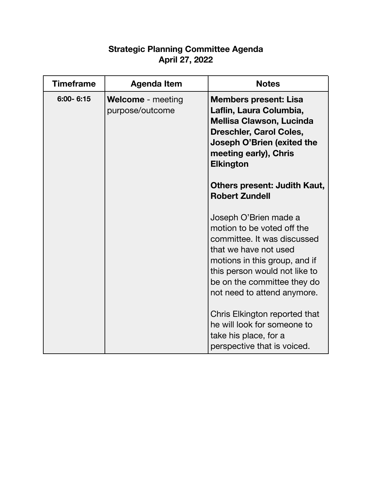## **Strategic Planning Committee Agenda April 27, 2022**

| <b>Timeframe</b> | Agenda Item                                 | <b>Notes</b>                                                                                                                                                                                                                                                                                                                                                        |
|------------------|---------------------------------------------|---------------------------------------------------------------------------------------------------------------------------------------------------------------------------------------------------------------------------------------------------------------------------------------------------------------------------------------------------------------------|
| 6:00-6:15        | <b>Welcome</b> - meeting<br>purpose/outcome | <b>Members present: Lisa</b><br>Laflin, Laura Columbia,<br><b>Mellisa Clawson, Lucinda</b><br><b>Dreschler, Carol Coles,</b><br>Joseph O'Brien (exited the<br>meeting early), Chris<br><b>Elkington</b><br>Others present: Judith Kaut,<br><b>Robert Zundell</b>                                                                                                    |
|                  |                                             | Joseph O'Brien made a<br>motion to be voted off the<br>committee. It was discussed<br>that we have not used<br>motions in this group, and if<br>this person would not like to<br>be on the committee they do<br>not need to attend anymore.<br>Chris Elkington reported that<br>he will look for someone to<br>take his place, for a<br>perspective that is voiced. |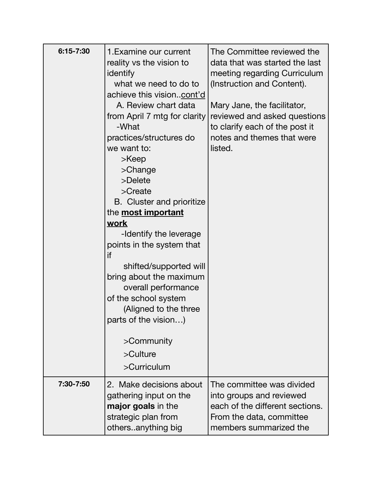| 6:15-7:30 | 1. Examine our current<br>reality vs the vision to<br>identify<br>what we need to do to<br>achieve this visioncont'd<br>A. Review chart data<br>from April 7 mtg for clarity<br>-What<br>practices/structures do<br>we want to:<br>>Keep<br>$\geq$ Change<br>>Delete<br>>Create<br>B. Cluster and prioritize<br>the <b>most important</b><br><u>work</u><br>-Identify the leverage<br>points in the system that<br>if<br>shifted/supported will<br>bring about the maximum<br>overall performance<br>of the school system<br>(Aligned to the three<br>parts of the vision)<br>>Community<br>$>$ Culture<br>>Curriculum | The Committee reviewed the<br>data that was started the last<br>meeting regarding Curriculum<br>(Instruction and Content).<br>Mary Jane, the facilitator,<br>reviewed and asked questions<br>to clarify each of the post it<br>notes and themes that were<br>listed. |
|-----------|------------------------------------------------------------------------------------------------------------------------------------------------------------------------------------------------------------------------------------------------------------------------------------------------------------------------------------------------------------------------------------------------------------------------------------------------------------------------------------------------------------------------------------------------------------------------------------------------------------------------|----------------------------------------------------------------------------------------------------------------------------------------------------------------------------------------------------------------------------------------------------------------------|
| 7:30-7:50 | 2. Make decisions about<br>gathering input on the<br><b>major goals</b> in the<br>strategic plan from<br>othersanything big                                                                                                                                                                                                                                                                                                                                                                                                                                                                                            | The committee was divided<br>into groups and reviewed<br>each of the different sections.<br>From the data, committee<br>members summarized the                                                                                                                       |